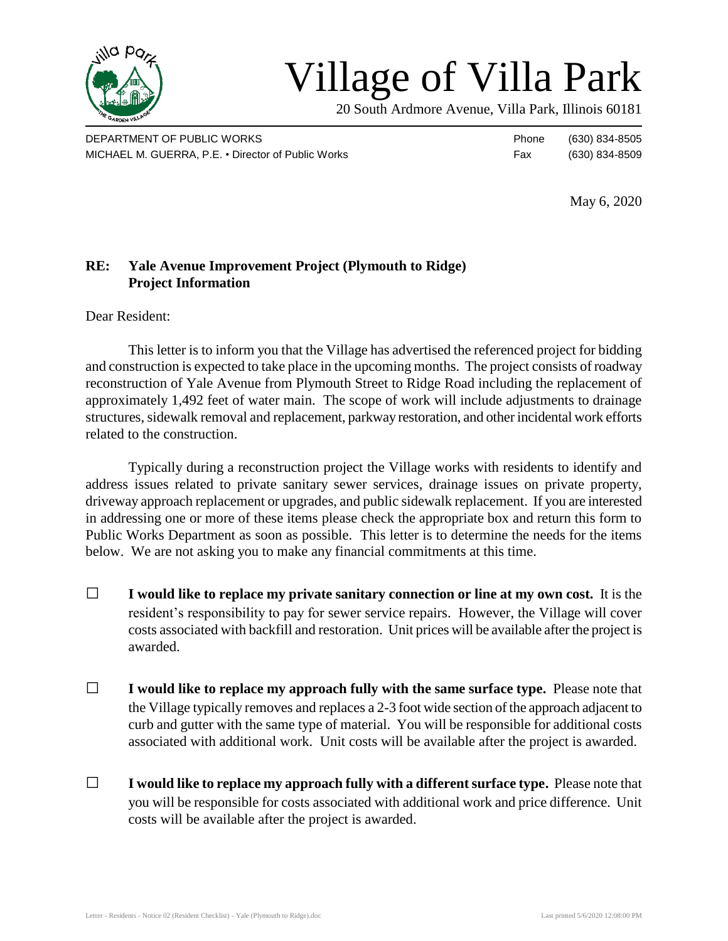

## Village of Villa Park

20 South Ardmore Avenue, Villa Park, Illinois 60181

DEPARTMENT OF PUBLIC WORKS **Phone** (630) 834-8505 MICHAEL M. GUERRA, P.E. • Director of Public Works Fax (630) 834-8509

May 6, 2020

## **RE: Yale Avenue Improvement Project (Plymouth to Ridge) Project Information**

Dear Resident:

This letter is to inform you that the Village has advertised the referenced project for bidding and construction is expected to take place in the upcoming months. The project consists of roadway reconstruction of Yale Avenue from Plymouth Street to Ridge Road including the replacement of approximately 1,492 feet of water main. The scope of work will include adjustments to drainage structures, sidewalk removal and replacement, parkway restoration, and other incidental work efforts related to the construction.

Typically during a reconstruction project the Village works with residents to identify and address issues related to private sanitary sewer services, drainage issues on private property, driveway approach replacement or upgrades, and public sidewalk replacement. If you are interested in addressing one or more of these items please check the appropriate box and return this form to Public Works Department as soon as possible. This letter is to determine the needs for the items below. We are not asking you to make any financial commitments at this time.

- □ **I would like to replace my private sanitary connection or line at my own cost.** It is the resident's responsibility to pay for sewer service repairs. However, the Village will cover costs associated with backfill and restoration. Unit prices will be available after the project is awarded.
- □ **I would like to replace my approach fully with the same surface type.** Please note that the Village typically removes and replaces a 2-3 foot wide section of the approach adjacent to curb and gutter with the same type of material. You will be responsible for additional costs associated with additional work. Unit costs will be available after the project is awarded.
- □ **I would like to replace my approach fully with a different surface type.** Please note that you will be responsible for costs associated with additional work and price difference. Unit costs will be available after the project is awarded.